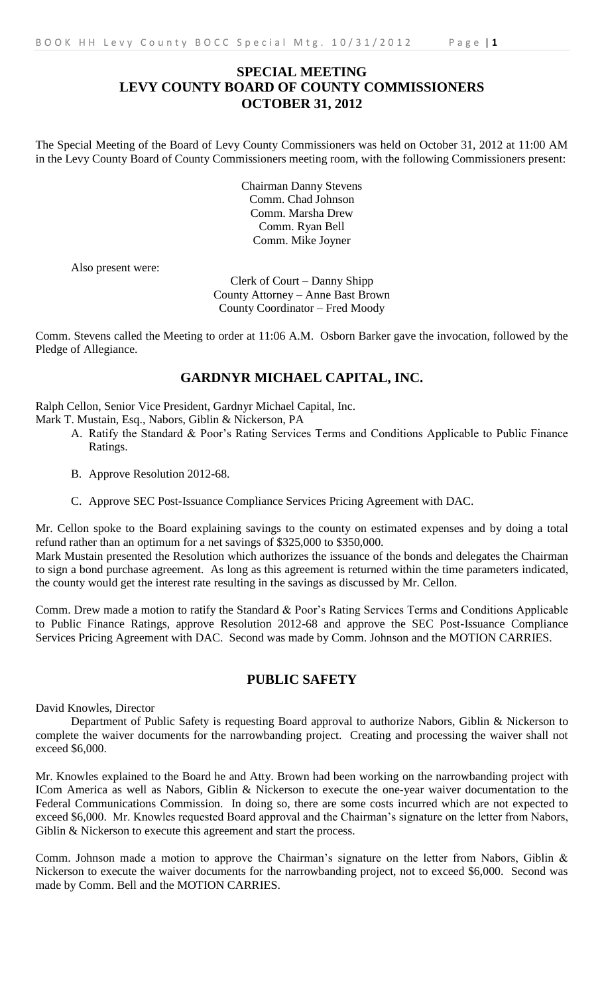# **SPECIAL MEETING LEVY COUNTY BOARD OF COUNTY COMMISSIONERS OCTOBER 31, 2012**

The Special Meeting of the Board of Levy County Commissioners was held on October 31, 2012 at 11:00 AM in the Levy County Board of County Commissioners meeting room, with the following Commissioners present:

> Chairman Danny Stevens Comm. Chad Johnson Comm. Marsha Drew Comm. Ryan Bell Comm. Mike Joyner

Also present were:

Clerk of Court – Danny Shipp County Attorney – Anne Bast Brown County Coordinator – Fred Moody

Comm. Stevens called the Meeting to order at 11:06 A.M. Osborn Barker gave the invocation, followed by the Pledge of Allegiance.

## **GARDNYR MICHAEL CAPITAL, INC.**

Ralph Cellon, Senior Vice President, Gardnyr Michael Capital, Inc.

Mark T. Mustain, Esq., Nabors, Giblin & Nickerson, PA

- A. Ratify the Standard & Poor's Rating Services Terms and Conditions Applicable to Public Finance Ratings.
- B. Approve Resolution 2012-68.
- C. Approve SEC Post-Issuance Compliance Services Pricing Agreement with DAC.

Mr. Cellon spoke to the Board explaining savings to the county on estimated expenses and by doing a total refund rather than an optimum for a net savings of \$325,000 to \$350,000.

Mark Mustain presented the Resolution which authorizes the issuance of the bonds and delegates the Chairman to sign a bond purchase agreement. As long as this agreement is returned within the time parameters indicated, the county would get the interest rate resulting in the savings as discussed by Mr. Cellon.

Comm. Drew made a motion to ratify the Standard & Poor's Rating Services Terms and Conditions Applicable to Public Finance Ratings, approve Resolution 2012-68 and approve the SEC Post-Issuance Compliance Services Pricing Agreement with DAC. Second was made by Comm. Johnson and the MOTION CARRIES.

## **PUBLIC SAFETY**

David Knowles, Director

Department of Public Safety is requesting Board approval to authorize Nabors, Giblin & Nickerson to complete the waiver documents for the narrowbanding project. Creating and processing the waiver shall not exceed \$6,000.

Mr. Knowles explained to the Board he and Atty. Brown had been working on the narrowbanding project with ICom America as well as Nabors, Giblin & Nickerson to execute the one-year waiver documentation to the Federal Communications Commission. In doing so, there are some costs incurred which are not expected to exceed \$6,000. Mr. Knowles requested Board approval and the Chairman's signature on the letter from Nabors, Giblin & Nickerson to execute this agreement and start the process.

Comm. Johnson made a motion to approve the Chairman's signature on the letter from Nabors, Giblin & Nickerson to execute the waiver documents for the narrowbanding project, not to exceed \$6,000. Second was made by Comm. Bell and the MOTION CARRIES.